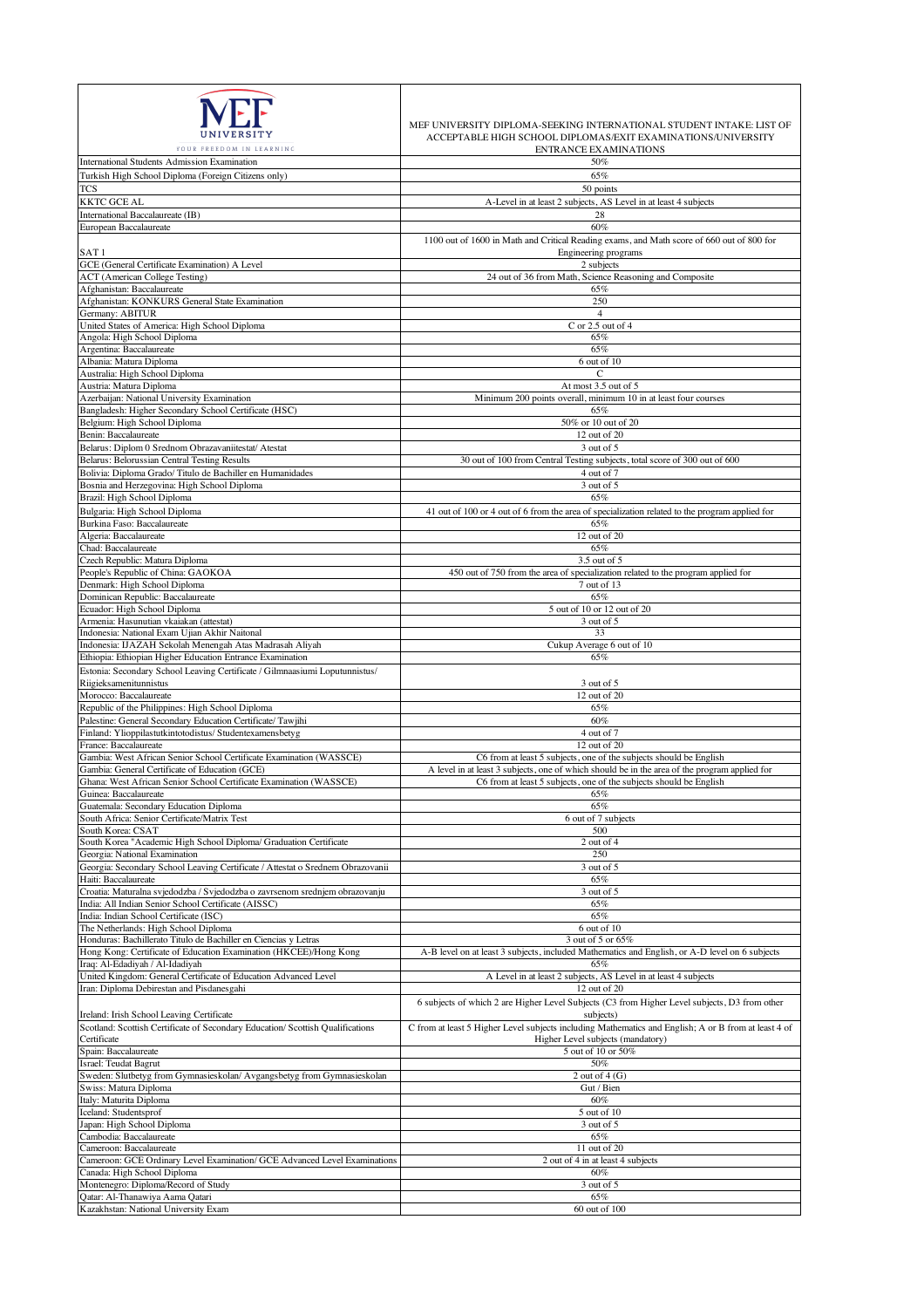| YOUR FREEDOM IN LEARNING                                                                                                             | MEF UNIVERSITY DIPLOMA-SEEKING INTERNATIONAL STUDENT INTAKE: LIST OF<br>ACCEPTABLE HIGH SCHOOL DIPLOMAS/EXIT EXAMINATIONS/UNIVERSITY<br><b>ENTRANCE EXAMINATIONS</b> |
|--------------------------------------------------------------------------------------------------------------------------------------|----------------------------------------------------------------------------------------------------------------------------------------------------------------------|
| International Students Admission Examination                                                                                         | 50%                                                                                                                                                                  |
| Turkish High School Diploma (Foreign Citizens only)                                                                                  | 65%                                                                                                                                                                  |
| TCS<br><b>KKTC GCE AL</b>                                                                                                            | 50 points<br>A-Level in at least 2 subjects, AS Level in at least 4 subjects                                                                                         |
| International Baccalaureate (IB)                                                                                                     | 28                                                                                                                                                                   |
| European Baccalaureate                                                                                                               | 60%                                                                                                                                                                  |
|                                                                                                                                      | 1100 out of 1600 in Math and Critical Reading exams, and Math score of 660 out of 800 for                                                                            |
| SAT <sub>1</sub>                                                                                                                     | Engineering programs                                                                                                                                                 |
| GCE (General Certificate Examination) A Level                                                                                        | 2 subjects                                                                                                                                                           |
| <b>ACT</b> (American College Testing)                                                                                                | 24 out of 36 from Math, Science Reasoning and Composite                                                                                                              |
| Afghanistan: Baccalaureate                                                                                                           | 65%                                                                                                                                                                  |
| Afghanistan: KONKURS General State Examination<br>Germany: ABITUR                                                                    | 250<br>$\overline{4}$                                                                                                                                                |
| United States of America: High School Diploma                                                                                        | $C$ or 2.5 out of 4                                                                                                                                                  |
| Angola: High School Diploma                                                                                                          | 65%                                                                                                                                                                  |
| Argentina: Baccalaureate                                                                                                             | 65%                                                                                                                                                                  |
| Albania: Matura Diploma                                                                                                              | 6 out of 10                                                                                                                                                          |
| Australia: High School Diploma                                                                                                       | C                                                                                                                                                                    |
| Austria: Matura Diploma<br>Azerbaijan: National University Examination                                                               | At most 3.5 out of 5<br>Minimum 200 points overall, minimum 10 in at least four courses                                                                              |
| Bangladesh: Higher Secondary School Certificate (HSC)                                                                                | 65%                                                                                                                                                                  |
| Belgium: High School Diploma                                                                                                         | 50% or 10 out of 20                                                                                                                                                  |
| Benin: Baccalaureate                                                                                                                 | 12 out of 20                                                                                                                                                         |
| Belarus: Diplom 0 Srednom Obrazavaniitestat/ Atestat                                                                                 | 3 out of 5                                                                                                                                                           |
| Belarus: Belorussian Central Testing Results                                                                                         | 30 out of 100 from Central Testing subjects, total score of 300 out of 600                                                                                           |
| Bolivia: Diploma Grado/Titulo de Bachiller en Humanidades                                                                            | 4 out of 7                                                                                                                                                           |
| Bosnia and Herzegovina: High School Diploma                                                                                          | 3 out of 5                                                                                                                                                           |
| Brazil: High School Diploma                                                                                                          | 65%                                                                                                                                                                  |
| Bulgaria: High School Diploma<br>Burkina Faso: Baccalaureate                                                                         | 41 out of 100 or 4 out of 6 from the area of specialization related to the program applied for<br>65%                                                                |
| Algeria: Baccalaureate                                                                                                               | 12 out of 20                                                                                                                                                         |
| Chad: Baccalaureate                                                                                                                  | 65%                                                                                                                                                                  |
| Czech Republic: Matura Diploma                                                                                                       | 3.5 out of 5                                                                                                                                                         |
| People's Republic of China: GAOKOA                                                                                                   | 450 out of 750 from the area of specialization related to the program applied for                                                                                    |
| Denmark: High School Diploma                                                                                                         | 7 out of 13                                                                                                                                                          |
| Dominican Republic: Baccalaureate<br>Ecuador: High School Diploma                                                                    | 65%<br>5 out of 10 or 12 out of 20                                                                                                                                   |
| Armenia: Hasunutian vkaiakan (attestat)                                                                                              | 3 out of 5                                                                                                                                                           |
| Indonesia: National Exam Ujian Akhir Naitonal                                                                                        | 33                                                                                                                                                                   |
| Indonesia: IJAZAH Sekolah Menengah Atas Madrasah Aliyah                                                                              | Cukup Average 6 out of 10                                                                                                                                            |
| Ethiopia: Ethiopian Higher Education Entrance Examination                                                                            | 65%                                                                                                                                                                  |
| Estonia: Secondary School Leaving Certificate / Gilmnaasiumi Loputunnistus/                                                          |                                                                                                                                                                      |
| Riigieksamenitunnistus                                                                                                               | 3 out of 5                                                                                                                                                           |
| Morocco: Baccalaureate<br>Republic of the Philippines: High School Diploma                                                           | 12 out of 20<br>65%                                                                                                                                                  |
| Palestine: General Secondary Education Certificate/ Tawjihi                                                                          | 60%                                                                                                                                                                  |
| Finland: Ylioppilastutkintotodistus/Studentexamensbetyg                                                                              | 4 out of 7                                                                                                                                                           |
| France: Baccalaureate                                                                                                                | 12 out of 20                                                                                                                                                         |
| Gambia: West African Senior School Certificate Examination (WASSCE)                                                                  | C6 from at least 5 subjects, one of the subjects should be English                                                                                                   |
| Gambia: General Certificate of Education (GCE)                                                                                       | A level in at least 3 subjects, one of which should be in the area of the program applied for                                                                        |
| Ghana: West African Senior School Certificate Examination (WASSCE)<br>Guinea: Baccalaureate                                          | C6 from at least 5 subjects, one of the subjects should be English<br>65%                                                                                            |
| Guatemala: Secondary Education Diploma                                                                                               | 65%                                                                                                                                                                  |
| South Africa: Senior Certificate/Matrix Test                                                                                         | 6 out of 7 subjects                                                                                                                                                  |
| South Korea: CSAT                                                                                                                    | 500                                                                                                                                                                  |
| South Korea "Academic High School Diploma/ Graduation Certificate                                                                    | 2 out of 4                                                                                                                                                           |
| Georgia: National Examination                                                                                                        | 250                                                                                                                                                                  |
| Georgia: Secondary School Leaving Certificate / Attestat o Srednem Obrazovanii<br>Haiti: Baccalaureate                               | 3 out of 5<br>65%                                                                                                                                                    |
| Croatia: Maturalna svjedodzba / Svjedodzba o zavrsenom srednjem obrazovanju                                                          | 3 out of 5                                                                                                                                                           |
| India: All Indian Senior School Certificate (AISSC)                                                                                  | 65%                                                                                                                                                                  |
| India: Indian School Certificate (ISC)                                                                                               | 65%                                                                                                                                                                  |
| The Netherlands: High School Diploma                                                                                                 | 6 out of 10                                                                                                                                                          |
| Honduras: Bachillerato Titulo de Bachiller en Ciencias y Letras<br>Hong Kong: Certificate of Education Examination (HKCEE)/Hong Kong | 3 out of 5 or 65%                                                                                                                                                    |
| Iraq: Al-Edadiyah / Al-Idadiyah                                                                                                      | A-B level on at least 3 subjects, included Mathematics and English, or A-D level on 6 subjects<br>65%                                                                |
| United Kingdom: General Certificate of Education Advanced Level                                                                      | A Level in at least 2 subjects, AS Level in at least 4 subjects                                                                                                      |
| Iran: Diploma Debirestan and Pisdanesgahi                                                                                            | 12 out of 20                                                                                                                                                         |
|                                                                                                                                      | 6 subjects of which 2 are Higher Level Subjects (C3 from Higher Level subjects, D3 from other                                                                        |
| Ireland: Irish School Leaving Certificate                                                                                            | subjects)                                                                                                                                                            |
| Scotland: Scottish Certificate of Secondary Education/ Scottish Qualifications                                                       | C from at least 5 Higher Level subjects including Mathematics and English; A or B from at least 4 of                                                                 |
| Certificate<br>Spain: Baccalaureate                                                                                                  | Higher Level subjects (mandatory)<br>5 out of 10 or 50%                                                                                                              |
| Israel: Teudat Bagrut                                                                                                                | 50%                                                                                                                                                                  |
| Sweden: Slutbetyg from Gymnasieskolan/ Avgangsbetyg from Gymnasieskolan                                                              | 2 out of $4(G)$                                                                                                                                                      |
| Swiss: Matura Diploma                                                                                                                | Gut / Bien                                                                                                                                                           |
| Italy: Maturita Diploma                                                                                                              | 60%                                                                                                                                                                  |
| Iceland: Studentsprof                                                                                                                | 5 out of 10                                                                                                                                                          |
| Japan: High School Diploma                                                                                                           | 3 out of 5<br>65%                                                                                                                                                    |
| Cambodia: Baccalaureate<br>Cameroon: Baccalaureate                                                                                   | 11 out of 20                                                                                                                                                         |
| Cameroon: GCE Ordinary Level Examination/ GCE Advanced Level Examinations                                                            | 2 out of 4 in at least 4 subjects                                                                                                                                    |
| Canada: High School Diploma                                                                                                          | 60%                                                                                                                                                                  |
| Montenegro: Diploma/Record of Study                                                                                                  | 3 out of 5                                                                                                                                                           |
| Qatar: Al-Thanawiya Aama Qatari                                                                                                      | 65%                                                                                                                                                                  |
| Kazakhstan: National University Exam                                                                                                 | 60 out of 100                                                                                                                                                        |